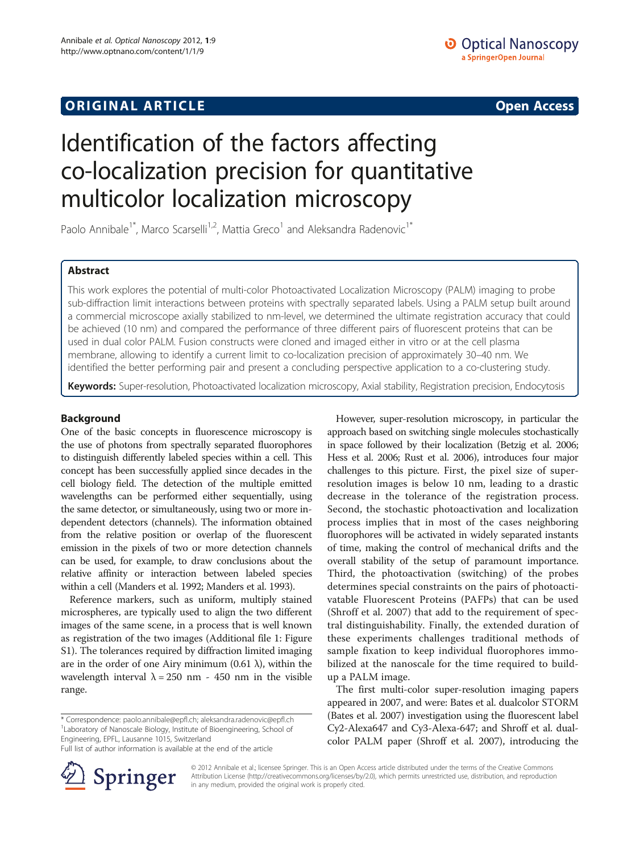# **ORIGINAL ARTICLE CONSERVANCE IN A LOCAL CONSERVANCE IN A LOCAL CONSERVANCE IN A LOCAL CONSERVANCE IN A LOCAL CONSERVANCE IN A LOCAL CONSERVANCE IN A LOCAL CONSERVANCE IN A LOCAL CONSERVANCE IN A LOCAL CONSERVANCE IN A L**

# Identification of the factors affecting co-localization precision for quantitative multicolor localization microscopy

Paolo Annibale<sup>1\*</sup>, Marco Scarselli<sup>1,2</sup>, Mattia Greco<sup>1</sup> and Aleksandra Radenovic<sup>1\*</sup>

## Abstract

This work explores the potential of multi-color Photoactivated Localization Microscopy (PALM) imaging to probe sub-diffraction limit interactions between proteins with spectrally separated labels. Using a PALM setup built around a commercial microscope axially stabilized to nm-level, we determined the ultimate registration accuracy that could be achieved (10 nm) and compared the performance of three different pairs of fluorescent proteins that can be used in dual color PALM. Fusion constructs were cloned and imaged either in vitro or at the cell plasma membrane, allowing to identify a current limit to co-localization precision of approximately 30–40 nm. We identified the better performing pair and present a concluding perspective application to a co-clustering study.

Keywords: Super-resolution, Photoactivated localization microscopy, Axial stability, Registration precision, Endocytosis

## Background

One of the basic concepts in fluorescence microscopy is the use of photons from spectrally separated fluorophores to distinguish differently labeled species within a cell. This concept has been successfully applied since decades in the cell biology field. The detection of the multiple emitted wavelengths can be performed either sequentially, using the same detector, or simultaneously, using two or more independent detectors (channels). The information obtained from the relative position or overlap of the fluorescent emission in the pixels of two or more detection channels can be used, for example, to draw conclusions about the relative affinity or interaction between labeled species within a cell (Manders et al. [1992](#page-12-0); Manders et al. [1993\)](#page-12-0).

Reference markers, such as uniform, multiply stained microspheres, are typically used to align the two different images of the same scene, in a process that is well known as registration of the two images (Additional file [1](#page-11-0): Figure S1). The tolerances required by diffraction limited imaging are in the order of one Airy minimum (0.61  $\lambda$ ), within the wavelength interval  $\lambda = 250$  nm - 450 nm in the visible range.

However, super-resolution microscopy, in particular the approach based on switching single molecules stochastically in space followed by their localization (Betzig et al. [2006](#page-11-0); Hess et al. [2006](#page-12-0); Rust et al. [2006\)](#page-12-0), introduces four major challenges to this picture. First, the pixel size of superresolution images is below 10 nm, leading to a drastic decrease in the tolerance of the registration process. Second, the stochastic photoactivation and localization process implies that in most of the cases neighboring fluorophores will be activated in widely separated instants of time, making the control of mechanical drifts and the overall stability of the setup of paramount importance. Third, the photoactivation (switching) of the probes determines special constraints on the pairs of photoactivatable Fluorescent Proteins (PAFPs) that can be used (Shroff et al. [2007\)](#page-12-0) that add to the requirement of spectral distinguishability. Finally, the extended duration of these experiments challenges traditional methods of sample fixation to keep individual fluorophores immobilized at the nanoscale for the time required to buildup a PALM image.

The first multi-color super-resolution imaging papers appeared in 2007, and were: Bates et al. dualcolor STORM (Bates et al. [2007](#page-11-0)) investigation using the fluorescent label Cy2-Alexa647 and Cy3-Alexa-647; and Shroff et al. dualcolor PALM paper (Shroff et al. [2007\)](#page-12-0), introducing the



© 2012 Annibale et al.; licensee Springer. This is an Open Access article distributed under the terms of the Creative Commons Attribution License [\(http://creativecommons.org/licenses/by/2.0\)](http://creativecommons.org/licenses/by/2.0), which permits unrestricted use, distribution, and reproduction in any medium, provided the original work is properly cited.

<sup>\*</sup> Correspondence: [paolo.annibale@epfl.ch](mailto:paolo.annibale@epfl.ch); [aleksandra.radenovic@epfl.ch](mailto:aleksandra.radenovic@epfl.ch) <sup>1</sup> <sup>1</sup> Laboratory of Nanoscale Biology, Institute of Bioengineering, School of Engineering, EPFL, Lausanne 1015, Switzerland

Full list of author information is available at the end of the article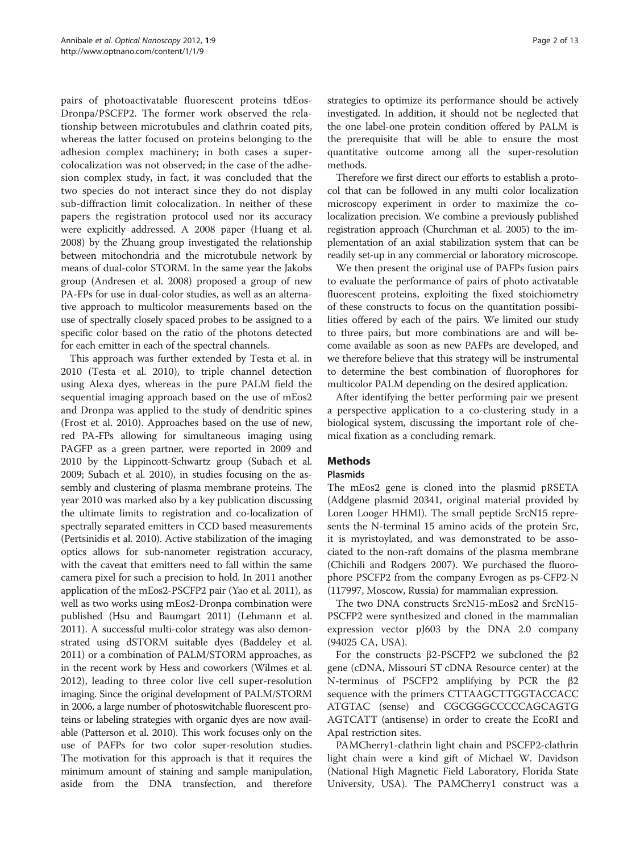<span id="page-1-0"></span>pairs of photoactivatable fluorescent proteins tdEos-Dronpa/PSCFP2. The former work observed the relationship between microtubules and clathrin coated pits, whereas the latter focused on proteins belonging to the adhesion complex machinery; in both cases a supercolocalization was not observed; in the case of the adhesion complex study, in fact, it was concluded that the two species do not interact since they do not display sub-diffraction limit colocalization. In neither of these papers the registration protocol used nor its accuracy were explicitly addressed. A 2008 paper (Huang et al. [2008\)](#page-12-0) by the Zhuang group investigated the relationship between mitochondria and the microtubule network by means of dual-color STORM. In the same year the Jakobs group (Andresen et al. [2008\)](#page-11-0) proposed a group of new PA-FPs for use in dual-color studies, as well as an alternative approach to multicolor measurements based on the use of spectrally closely spaced probes to be assigned to a specific color based on the ratio of the photons detected for each emitter in each of the spectral channels.

This approach was further extended by Testa et al. in 2010 (Testa et al. [2010\)](#page-12-0), to triple channel detection using Alexa dyes, whereas in the pure PALM field the sequential imaging approach based on the use of mEos2 and Dronpa was applied to the study of dendritic spines (Frost et al. [2010](#page-12-0)). Approaches based on the use of new, red PA-FPs allowing for simultaneous imaging using PAGFP as a green partner, were reported in 2009 and 2010 by the Lippincott-Schwartz group (Subach et al. [2009;](#page-12-0) Subach et al. [2010](#page-12-0)), in studies focusing on the assembly and clustering of plasma membrane proteins. The year 2010 was marked also by a key publication discussing the ultimate limits to registration and co-localization of spectrally separated emitters in CCD based measurements (Pertsinidis et al. [2010\)](#page-12-0). Active stabilization of the imaging optics allows for sub-nanometer registration accuracy, with the caveat that emitters need to fall within the same camera pixel for such a precision to hold. In 2011 another application of the mEos2-PSCFP2 pair (Yao et al. [2011\)](#page-12-0), as well as two works using mEos2-Dronpa combination were published (Hsu and Baumgart [2011\)](#page-12-0) (Lehmann et al. [2011\)](#page-12-0). A successful multi-color strategy was also demonstrated using dSTORM suitable dyes (Baddeley et al. [2011\)](#page-11-0) or a combination of PALM/STORM approaches, as in the recent work by Hess and coworkers (Wilmes et al. [2012\)](#page-12-0), leading to three color live cell super-resolution imaging. Since the original development of PALM/STORM in 2006, a large number of photoswitchable fluorescent proteins or labeling strategies with organic dyes are now available (Patterson et al. [2010](#page-12-0)). This work focuses only on the use of PAFPs for two color super-resolution studies. The motivation for this approach is that it requires the minimum amount of staining and sample manipulation, aside from the DNA transfection, and therefore strategies to optimize its performance should be actively investigated. In addition, it should not be neglected that the one label-one protein condition offered by PALM is the prerequisite that will be able to ensure the most quantitative outcome among all the super-resolution methods.

Therefore we first direct our efforts to establish a protocol that can be followed in any multi color localization microscopy experiment in order to maximize the colocalization precision. We combine a previously published registration approach (Churchman et al. [2005](#page-12-0)) to the implementation of an axial stabilization system that can be readily set-up in any commercial or laboratory microscope.

We then present the original use of PAFPs fusion pairs to evaluate the performance of pairs of photo activatable fluorescent proteins, exploiting the fixed stoichiometry of these constructs to focus on the quantitation possibilities offered by each of the pairs. We limited our study to three pairs, but more combinations are and will become available as soon as new PAFPs are developed, and we therefore believe that this strategy will be instrumental to determine the best combination of fluorophores for multicolor PALM depending on the desired application.

After identifying the better performing pair we present a perspective application to a co-clustering study in a biological system, discussing the important role of chemical fixation as a concluding remark.

## **Methods**

## Plasmids

The mEos2 gene is cloned into the plasmid pRSETA (Addgene plasmid 20341, original material provided by Loren Looger HHMI). The small peptide SrcN15 represents the N-terminal 15 amino acids of the protein Src, it is myristoylated, and was demonstrated to be associated to the non-raft domains of the plasma membrane (Chichili and Rodgers [2007\)](#page-11-0). We purchased the fluorophore PSCFP2 from the company Evrogen as ps-CFP2-N (117997, Moscow, Russia) for mammalian expression.

The two DNA constructs SrcN15-mEos2 and SrcN15- PSCFP2 were synthesized and cloned in the mammalian expression vector pJ603 by the DNA 2.0 company (94025 CA, USA).

For the constructs  $β2-PSCFP2$  we subcloned the  $β2$ gene (cDNA, Missouri ST cDNA Resource center) at the N-terminus of PSCFP2 amplifying by PCR the β2 sequence with the primers CTTAAGCTTGGTACCACC ATGTAC (sense) and CGCGGGCCCCCAGCAGTG AGTCATT (antisense) in order to create the EcoRI and ApaI restriction sites.

PAMCherry1-clathrin light chain and PSCFP2-clathrin light chain were a kind gift of Michael W. Davidson (National High Magnetic Field Laboratory, Florida State University, USA). The PAMCherry1 construct was a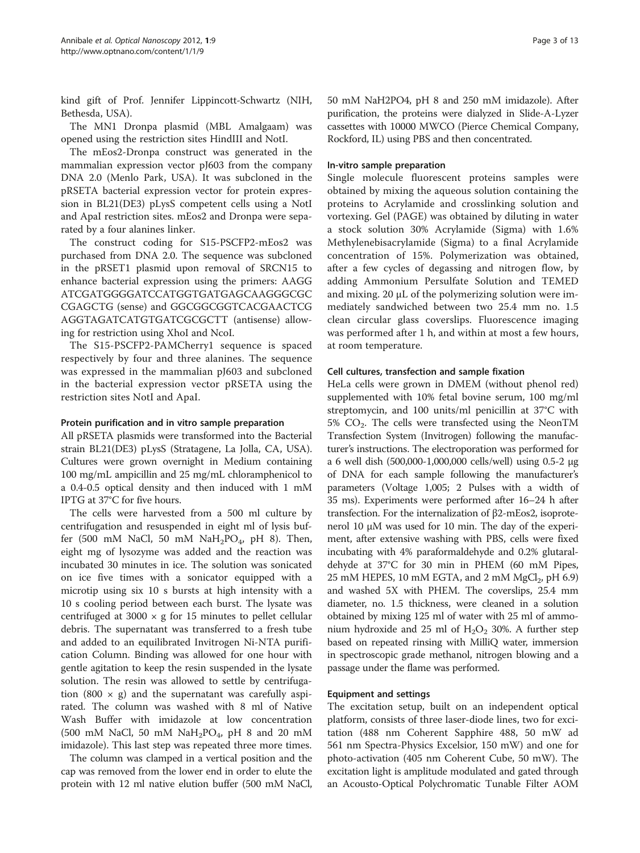<span id="page-2-0"></span>kind gift of Prof. Jennifer Lippincott-Schwartz (NIH, Bethesda, USA).

The MN1 Dronpa plasmid (MBL Amalgaam) was opened using the restriction sites HindIII and NotI.

The mEos2-Dronpa construct was generated in the mammalian expression vector pJ603 from the company DNA 2.0 (Menlo Park, USA). It was subcloned in the pRSETA bacterial expression vector for protein expression in BL21(DE3) pLysS competent cells using a NotI and ApaI restriction sites. mEos2 and Dronpa were separated by a four alanines linker.

The construct coding for S15-PSCFP2-mEos2 was purchased from DNA 2.0. The sequence was subcloned in the pRSET1 plasmid upon removal of SRCN15 to enhance bacterial expression using the primers: AAGG ATCGATGGGGATCCATGGTGATGAGCAAGGGCGC CGAGCTG (sense) and GGCGGCGGTCACGAACTCG AGGTAGATCATGTGATCGCGCTT (antisense) allowing for restriction using XhoI and NcoI.

The S15-PSCFP2-PAMCherry1 sequence is spaced respectively by four and three alanines. The sequence was expressed in the mammalian pJ603 and subcloned in the bacterial expression vector pRSETA using the restriction sites NotI and ApaI.

## Protein purification and in vitro sample preparation

All pRSETA plasmids were transformed into the Bacterial strain BL21(DE3) pLysS (Stratagene, La Jolla, CA, USA). Cultures were grown overnight in Medium containing 100 mg/mL ampicillin and 25 mg/mL chloramphenicol to a 0.4-0.5 optical density and then induced with 1 mM IPTG at 37°C for five hours.

The cells were harvested from a 500 ml culture by centrifugation and resuspended in eight ml of lysis buffer (500 mM NaCl, 50 mM NaH<sub>2</sub>PO<sub>4</sub>, pH 8). Then, eight mg of lysozyme was added and the reaction was incubated 30 minutes in ice. The solution was sonicated on ice five times with a sonicator equipped with a microtip using six 10 s bursts at high intensity with a 10 s cooling period between each burst. The lysate was centrifuged at 3000  $\times$  g for 15 minutes to pellet cellular debris. The supernatant was transferred to a fresh tube and added to an equilibrated Invitrogen Ni-NTA purification Column. Binding was allowed for one hour with gentle agitation to keep the resin suspended in the lysate solution. The resin was allowed to settle by centrifugation (800  $\times$  g) and the supernatant was carefully aspirated. The column was washed with 8 ml of Native Wash Buffer with imidazole at low concentration (500 mM NaCl, 50 mM NaH<sub>2</sub>PO<sub>4</sub>, pH 8 and 20 mM imidazole). This last step was repeated three more times.

The column was clamped in a vertical position and the cap was removed from the lower end in order to elute the protein with 12 ml native elution buffer (500 mM NaCl, 50 mM NaH2PO4, pH 8 and 250 mM imidazole). After purification, the proteins were dialyzed in Slide-A-Lyzer cassettes with 10000 MWCO (Pierce Chemical Company, Rockford, IL) using PBS and then concentrated.

#### In-vitro sample preparation

Single molecule fluorescent proteins samples were obtained by mixing the aqueous solution containing the proteins to Acrylamide and crosslinking solution and vortexing. Gel (PAGE) was obtained by diluting in water a stock solution 30% Acrylamide (Sigma) with 1.6% Methylenebisacrylamide (Sigma) to a final Acrylamide concentration of 15%. Polymerization was obtained, after a few cycles of degassing and nitrogen flow, by adding Ammonium Persulfate Solution and TEMED and mixing. 20 μL of the polymerizing solution were immediately sandwiched between two 25.4 mm no. 1.5 clean circular glass coverslips. Fluorescence imaging was performed after 1 h, and within at most a few hours, at room temperature.

## Cell cultures, transfection and sample fixation

HeLa cells were grown in DMEM (without phenol red) supplemented with 10% fetal bovine serum, 100 mg/ml streptomycin, and 100 units/ml penicillin at 37°C with 5%  $CO<sub>2</sub>$ . The cells were transfected using the NeonTM Transfection System (Invitrogen) following the manufacturer's instructions. The electroporation was performed for a 6 well dish (500,000-1,000,000 cells/well) using 0.5-2 μg of DNA for each sample following the manufacturer's parameters (Voltage 1,005; 2 Pulses with a width of 35 ms). Experiments were performed after 16–24 h after transfection. For the internalization of β2-mEos2, isoprotenerol 10 μM was used for 10 min. The day of the experiment, after extensive washing with PBS, cells were fixed incubating with 4% paraformaldehyde and 0.2% glutaraldehyde at 37°C for 30 min in PHEM (60 mM Pipes, 25 mM HEPES, 10 mM EGTA, and 2 mM  $MgCl<sub>2</sub>$ , pH 6.9) and washed 5X with PHEM. The coverslips, 25.4 mm diameter, no. 1.5 thickness, were cleaned in a solution obtained by mixing 125 ml of water with 25 ml of ammonium hydroxide and 25 ml of  $H_2O_2$  30%. A further step based on repeated rinsing with MilliQ water, immersion in spectroscopic grade methanol, nitrogen blowing and a passage under the flame was performed.

#### Equipment and settings

The excitation setup, built on an independent optical platform, consists of three laser-diode lines, two for excitation (488 nm Coherent Sapphire 488, 50 mW ad 561 nm Spectra-Physics Excelsior, 150 mW) and one for photo-activation (405 nm Coherent Cube, 50 mW). The excitation light is amplitude modulated and gated through an Acousto-Optical Polychromatic Tunable Filter AOM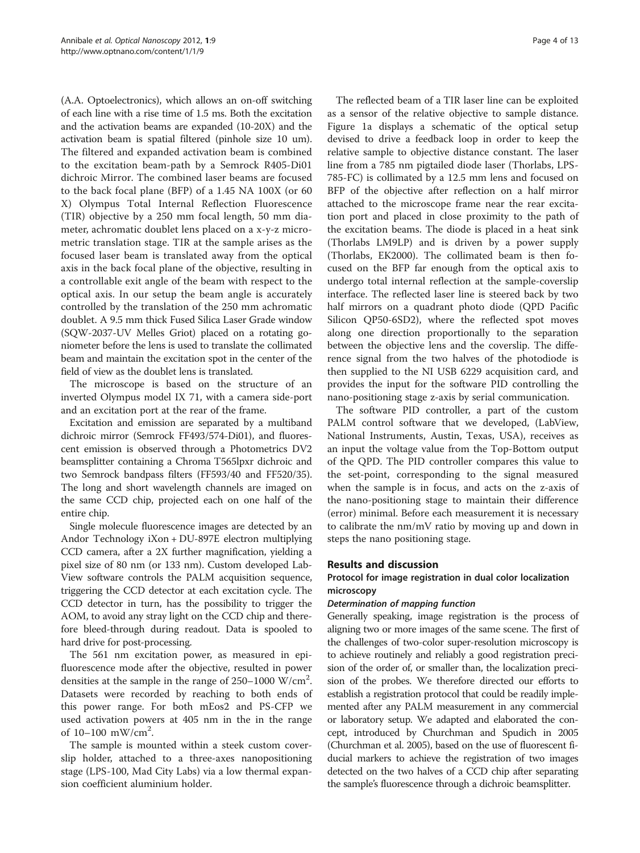(A.A. Optoelectronics), which allows an on-off switching of each line with a rise time of 1.5 ms. Both the excitation and the activation beams are expanded (10-20X) and the activation beam is spatial filtered (pinhole size 10 um). The filtered and expanded activation beam is combined to the excitation beam-path by a Semrock R405-Di01 dichroic Mirror. The combined laser beams are focused to the back focal plane (BFP) of a 1.45 NA 100X (or 60 X) Olympus Total Internal Reflection Fluorescence (TIR) objective by a 250 mm focal length, 50 mm diameter, achromatic doublet lens placed on a x-y-z micrometric translation stage. TIR at the sample arises as the focused laser beam is translated away from the optical axis in the back focal plane of the objective, resulting in a controllable exit angle of the beam with respect to the optical axis. In our setup the beam angle is accurately controlled by the translation of the 250 mm achromatic doublet. A 9.5 mm thick Fused Silica Laser Grade window (SQW-2037-UV Melles Griot) placed on a rotating goniometer before the lens is used to translate the collimated beam and maintain the excitation spot in the center of the field of view as the doublet lens is translated.

The microscope is based on the structure of an inverted Olympus model IX 71, with a camera side-port and an excitation port at the rear of the frame.

Excitation and emission are separated by a multiband dichroic mirror (Semrock FF493/574-Di01), and fluorescent emission is observed through a Photometrics DV2 beamsplitter containing a Chroma T565lpxr dichroic and two Semrock bandpass filters (FF593/40 and FF520/35). The long and short wavelength channels are imaged on the same CCD chip, projected each on one half of the entire chip.

Single molecule fluorescence images are detected by an Andor Technology iXon + DU-897E electron multiplying CCD camera, after a 2X further magnification, yielding a pixel size of 80 nm (or 133 nm). Custom developed Lab-View software controls the PALM acquisition sequence, triggering the CCD detector at each excitation cycle. The CCD detector in turn, has the possibility to trigger the AOM, to avoid any stray light on the CCD chip and therefore bleed-through during readout. Data is spooled to hard drive for post-processing.

The 561 nm excitation power, as measured in epifluorescence mode after the objective, resulted in power densities at the sample in the range of  $250-1000$  W/cm<sup>2</sup>. Datasets were recorded by reaching to both ends of this power range. For both mEos2 and PS-CFP we used activation powers at 405 nm in the in the range of  $10-100$  mW/cm<sup>2</sup>.

The sample is mounted within a steek custom coverslip holder, attached to a three-axes nanopositioning stage (LPS-100, Mad City Labs) via a low thermal expansion coefficient aluminium holder.

The reflected beam of a TIR laser line can be exploited as a sensor of the relative objective to sample distance. Figure [1a](#page-4-0) displays a schematic of the optical setup devised to drive a feedback loop in order to keep the relative sample to objective distance constant. The laser line from a 785 nm pigtailed diode laser (Thorlabs, LPS-785-FC) is collimated by a 12.5 mm lens and focused on BFP of the objective after reflection on a half mirror attached to the microscope frame near the rear excitation port and placed in close proximity to the path of the excitation beams. The diode is placed in a heat sink (Thorlabs LM9LP) and is driven by a power supply (Thorlabs, EK2000). The collimated beam is then focused on the BFP far enough from the optical axis to undergo total internal reflection at the sample-coverslip interface. The reflected laser line is steered back by two half mirrors on a quadrant photo diode (QPD Pacific Silicon QP50-6SD2), where the reflected spot moves along one direction proportionally to the separation between the objective lens and the coverslip. The difference signal from the two halves of the photodiode is then supplied to the NI USB 6229 acquisition card, and provides the input for the software PID controlling the nano-positioning stage z-axis by serial communication.

The software PID controller, a part of the custom PALM control software that we developed, (LabView, National Instruments, Austin, Texas, USA), receives as an input the voltage value from the Top-Bottom output of the QPD. The PID controller compares this value to the set-point, corresponding to the signal measured when the sample is in focus, and acts on the z-axis of the nano-positioning stage to maintain their difference (error) minimal. Before each measurement it is necessary to calibrate the nm/mV ratio by moving up and down in steps the nano positioning stage.

## Results and discussion

## Protocol for image registration in dual color localization microscopy

## Determination of mapping function

Generally speaking, image registration is the process of aligning two or more images of the same scene. The first of the challenges of two-color super-resolution microscopy is to achieve routinely and reliably a good registration precision of the order of, or smaller than, the localization precision of the probes. We therefore directed our efforts to establish a registration protocol that could be readily implemented after any PALM measurement in any commercial or laboratory setup. We adapted and elaborated the concept, introduced by Churchman and Spudich in 2005 (Churchman et al. [2005\)](#page-12-0), based on the use of fluorescent fiducial markers to achieve the registration of two images detected on the two halves of a CCD chip after separating the sample's fluorescence through a dichroic beamsplitter.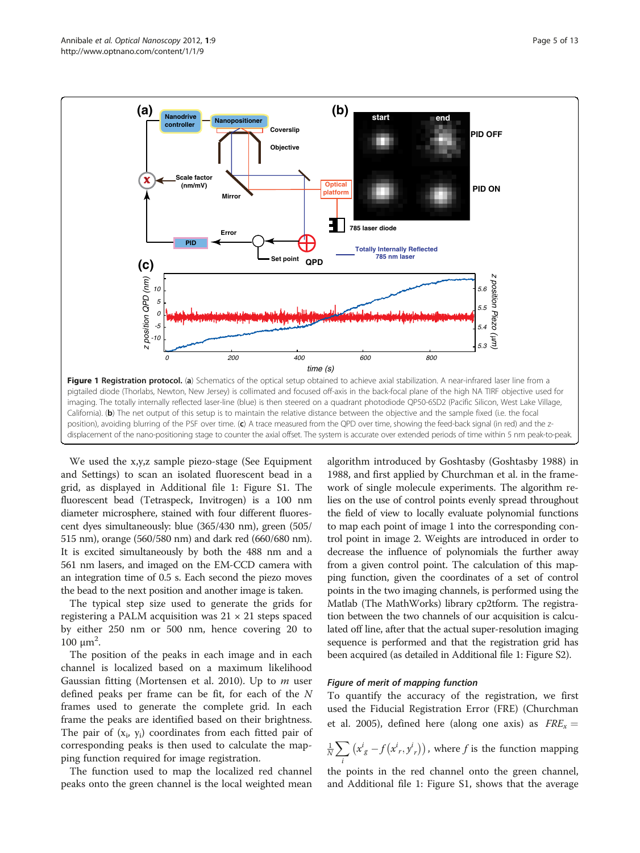<span id="page-4-0"></span>

We used the x,y,z sample piezo-stage (See [Equipment](#page-2-0) [and Settings](#page-2-0)) to scan an isolated fluorescent bead in a grid, as displayed in Additional file [1:](#page-11-0) Figure S1. The fluorescent bead (Tetraspeck, Invitrogen) is a 100 nm diameter microsphere, stained with four different fluorescent dyes simultaneously: blue (365/430 nm), green (505/ 515 nm), orange (560/580 nm) and dark red (660/680 nm). It is excited simultaneously by both the 488 nm and a 561 nm lasers, and imaged on the EM-CCD camera with an integration time of 0.5 s. Each second the piezo moves the bead to the next position and another image is taken.

The typical step size used to generate the grids for registering a PALM acquisition was  $21 \times 21$  steps spaced by either 250 nm or 500 nm, hence covering 20 to  $100 \mu m^2$ .

The position of the peaks in each image and in each channel is localized based on a maximum likelihood Gaussian fitting (Mortensen et al. [2010\)](#page-12-0). Up to  $m$  user defined peaks per frame can be fit, for each of the N frames used to generate the complete grid. In each frame the peaks are identified based on their brightness. The pair of  $(x_i, y_i)$  coordinates from each fitted pair of corresponding peaks is then used to calculate the mapping function required for image registration.

The function used to map the localized red channel peaks onto the green channel is the local weighted mean

algorithm introduced by Goshtasby (Goshtasby [1988\)](#page-12-0) in 1988, and first applied by Churchman et al. in the framework of single molecule experiments. The algorithm relies on the use of control points evenly spread throughout the field of view to locally evaluate polynomial functions to map each point of image 1 into the corresponding control point in image 2. Weights are introduced in order to decrease the influence of polynomials the further away from a given control point. The calculation of this mapping function, given the coordinates of a set of control points in the two imaging channels, is performed using the Matlab (The MathWorks) library cp2tform. The registration between the two channels of our acquisition is calculated off line, after that the actual super-resolution imaging sequence is performed and that the registration grid has been acquired (as detailed in Additional file [1:](#page-11-0) Figure S2).

## Figure of merit of mapping function

To quantify the accuracy of the registration, we first used the Fiducial Registration Error (FRE) (Churchman et al. [2005\)](#page-12-0), defined here (along one axis) as  $FRE_x =$ 

 $\frac{1}{N}\sum$ i  $(x_g^i - f(x_r^i, y_r^i))$ , where *f* is the function mapping

the points in the red channel onto the green channel, and Additional file [1:](#page-11-0) Figure S1, shows that the average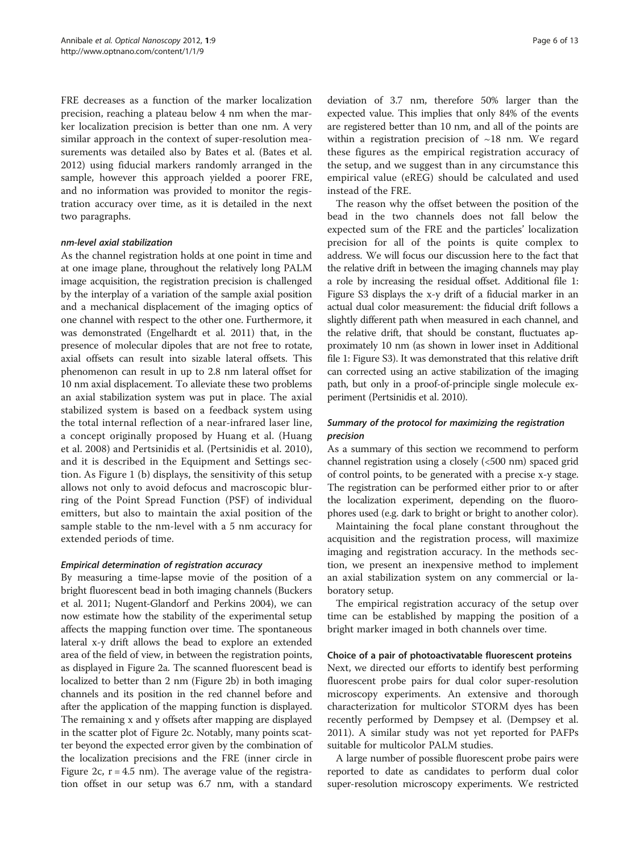FRE decreases as a function of the marker localization precision, reaching a plateau below 4 nm when the marker localization precision is better than one nm. A very similar approach in the context of super-resolution measurements was detailed also by Bates et al. (Bates et al. [2012](#page-11-0)) using fiducial markers randomly arranged in the sample, however this approach yielded a poorer FRE, and no information was provided to monitor the registration accuracy over time, as it is detailed in the next two paragraphs.

## nm-level axial stabilization

As the channel registration holds at one point in time and at one image plane, throughout the relatively long PALM image acquisition, the registration precision is challenged by the interplay of a variation of the sample axial position and a mechanical displacement of the imaging optics of one channel with respect to the other one. Furthermore, it was demonstrated (Engelhardt et al. [2011\)](#page-12-0) that, in the presence of molecular dipoles that are not free to rotate, axial offsets can result into sizable lateral offsets. This phenomenon can result in up to 2.8 nm lateral offset for 10 nm axial displacement. To alleviate these two problems an axial stabilization system was put in place. The axial stabilized system is based on a feedback system using the total internal reflection of a near-infrared laser line, a concept originally proposed by Huang et al. (Huang et al. [2008](#page-12-0)) and Pertsinidis et al. (Pertsinidis et al. [2010](#page-12-0)), and it is described in the Equipment and Settings section. As Figure [1](#page-4-0) (b) displays, the sensitivity of this setup allows not only to avoid defocus and macroscopic blurring of the Point Spread Function (PSF) of individual emitters, but also to maintain the axial position of the sample stable to the nm-level with a 5 nm accuracy for extended periods of time.

## Empirical determination of registration accuracy

By measuring a time-lapse movie of the position of a bright fluorescent bead in both imaging channels (Buckers et al. [2011;](#page-11-0) Nugent-Glandorf and Perkins [2004\)](#page-12-0), we can now estimate how the stability of the experimental setup affects the mapping function over time. The spontaneous lateral x-y drift allows the bead to explore an extended area of the field of view, in between the registration points, as displayed in Figure [2a](#page-6-0). The scanned fluorescent bead is localized to better than 2 nm (Figure [2b](#page-6-0)) in both imaging channels and its position in the red channel before and after the application of the mapping function is displayed. The remaining x and y offsets after mapping are displayed in the scatter plot of Figure [2c](#page-6-0). Notably, many points scatter beyond the expected error given by the combination of the localization precisions and the FRE (inner circle in Figure [2](#page-6-0)c,  $r = 4.5$  nm). The average value of the registration offset in our setup was 6.7 nm, with a standard

deviation of 3.7 nm, therefore 50% larger than the expected value. This implies that only 84% of the events are registered better than 10 nm, and all of the points are within a registration precision of  $~18$  nm. We regard these figures as the empirical registration accuracy of the setup, and we suggest than in any circumstance this empirical value (eREG) should be calculated and used instead of the FRE.

The reason why the offset between the position of the bead in the two channels does not fall below the expected sum of the FRE and the particles' localization precision for all of the points is quite complex to address. We will focus our discussion here to the fact that the relative drift in between the imaging channels may play a role by increasing the residual offset. Additional file [1](#page-11-0): Figure S3 displays the x-y drift of a fiducial marker in an actual dual color measurement: the fiducial drift follows a slightly different path when measured in each channel, and the relative drift, that should be constant, fluctuates approximately 10 nm (as shown in lower inset in Additional file [1:](#page-11-0) Figure S3). It was demonstrated that this relative drift can corrected using an active stabilization of the imaging path, but only in a proof-of-principle single molecule experiment (Pertsinidis et al. [2010](#page-12-0)).

## Summary of the protocol for maximizing the registration precision

As a summary of this section we recommend to perform channel registration using a closely (<500 nm) spaced grid of control points, to be generated with a precise x-y stage. The registration can be performed either prior to or after the localization experiment, depending on the fluorophores used (e.g. dark to bright or bright to another color).

Maintaining the focal plane constant throughout the acquisition and the registration process, will maximize imaging and registration accuracy. In the methods section, we present an inexpensive method to implement an axial stabilization system on any commercial or laboratory setup.

The empirical registration accuracy of the setup over time can be established by mapping the position of a bright marker imaged in both channels over time.

## Choice of a pair of photoactivatable fluorescent proteins

Next, we directed our efforts to identify best performing fluorescent probe pairs for dual color super-resolution microscopy experiments. An extensive and thorough characterization for multicolor STORM dyes has been recently performed by Dempsey et al. (Dempsey et al. [2011](#page-12-0)). A similar study was not yet reported for PAFPs suitable for multicolor PALM studies.

A large number of possible fluorescent probe pairs were reported to date as candidates to perform dual color super-resolution microscopy experiments. We restricted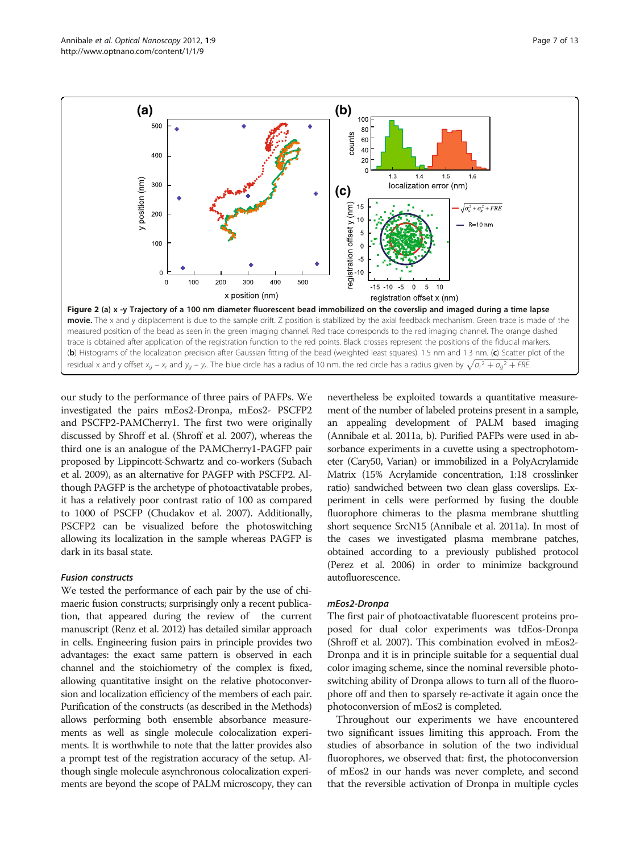<span id="page-6-0"></span>

our study to the performance of three pairs of PAFPs. We investigated the pairs mEos2-Dronpa, mEos2- PSCFP2 and PSCFP2-PAMCherry1. The first two were originally discussed by Shroff et al. (Shroff et al. [2007\)](#page-12-0), whereas the third one is an analogue of the PAMCherry1-PAGFP pair proposed by Lippincott-Schwartz and co-workers (Subach et al. [2009\)](#page-12-0), as an alternative for PAGFP with PSCFP2. Although PAGFP is the archetype of photoactivatable probes, it has a relatively poor contrast ratio of 100 as compared to 1000 of PSCFP (Chudakov et al. [2007](#page-12-0)). Additionally, PSCFP2 can be visualized before the photoswitching allowing its localization in the sample whereas PAGFP is dark in its basal state.

## Fusion constructs

We tested the performance of each pair by the use of chimaeric fusion constructs; surprisingly only a recent publication, that appeared during the review of the current manuscript (Renz et al. [2012\)](#page-12-0) has detailed similar approach in cells. Engineering fusion pairs in principle provides two advantages: the exact same pattern is observed in each channel and the stoichiometry of the complex is fixed, allowing quantitative insight on the relative photoconversion and localization efficiency of the members of each pair. Purification of the constructs (as described in the [Methods](#page-1-0)) allows performing both ensemble absorbance measurements as well as single molecule colocalization experiments. It is worthwhile to note that the latter provides also a prompt test of the registration accuracy of the setup. Although single molecule asynchronous colocalization experiments are beyond the scope of PALM microscopy, they can

nevertheless be exploited towards a quantitative measurement of the number of labeled proteins present in a sample, an appealing development of PALM based imaging (Annibale et al. [2011a](#page-11-0), [b\)](#page-11-0). Purified PAFPs were used in absorbance experiments in a cuvette using a spectrophotometer (Cary50, Varian) or immobilized in a PolyAcrylamide Matrix (15% Acrylamide concentration, 1:18 crosslinker ratio) sandwiched between two clean glass coverslips. Experiment in cells were performed by fusing the double fluorophore chimeras to the plasma membrane shuttling short sequence SrcN15 (Annibale et al. [2011a\)](#page-11-0). In most of the cases we investigated plasma membrane patches, obtained according to a previously published protocol (Perez et al. [2006](#page-12-0)) in order to minimize background autofluorescence.

## mEos2-Dronpa

The first pair of photoactivatable fluorescent proteins proposed for dual color experiments was tdEos-Dronpa (Shroff et al. [2007](#page-12-0)). This combination evolved in mEos2- Dronpa and it is in principle suitable for a sequential dual color imaging scheme, since the nominal reversible photoswitching ability of Dronpa allows to turn all of the fluorophore off and then to sparsely re-activate it again once the photoconversion of mEos2 is completed.

Throughout our experiments we have encountered two significant issues limiting this approach. From the studies of absorbance in solution of the two individual fluorophores, we observed that: first, the photoconversion of mEos2 in our hands was never complete, and second that the reversible activation of Dronpa in multiple cycles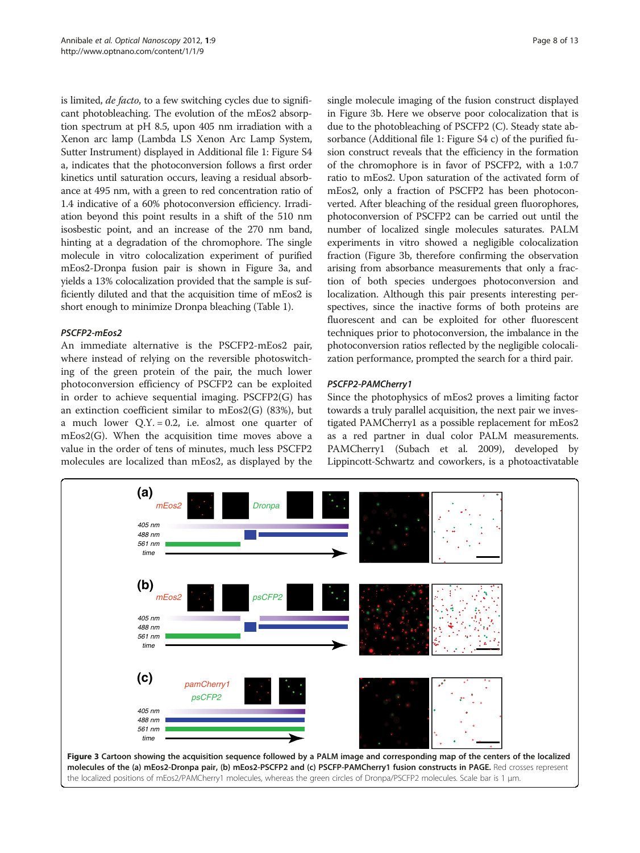<span id="page-7-0"></span>is limited, de facto, to a few switching cycles due to significant photobleaching. The evolution of the mEos2 absorption spectrum at pH 8.5, upon 405 nm irradiation with a Xenon arc lamp (Lambda LS Xenon Arc Lamp System, Sutter Instrument) displayed in Additional file [1](#page-11-0): Figure S4 a, indicates that the photoconversion follows a first order kinetics until saturation occurs, leaving a residual absorbance at 495 nm, with a green to red concentration ratio of 1.4 indicative of a 60% photoconversion efficiency. Irradiation beyond this point results in a shift of the 510 nm isosbestic point, and an increase of the 270 nm band, hinting at a degradation of the chromophore. The single molecule in vitro colocalization experiment of purified mEos2-Dronpa fusion pair is shown in Figure 3a, and yields a 13% colocalization provided that the sample is sufficiently diluted and that the acquisition time of mEos2 is short enough to minimize Dronpa bleaching (Table [1\)](#page-8-0).

## PSCFP2-mEos2

An immediate alternative is the PSCFP2-mEos2 pair, where instead of relying on the reversible photoswitching of the green protein of the pair, the much lower photoconversion efficiency of PSCFP2 can be exploited in order to achieve sequential imaging. PSCFP2(G) has an extinction coefficient similar to mEos2(G) (83%), but a much lower  $Q.Y. = 0.2$ , i.e. almost one quarter of mEos2(G). When the acquisition time moves above a value in the order of tens of minutes, much less PSCFP2 molecules are localized than mEos2, as displayed by the

single molecule imaging of the fusion construct displayed in Figure 3b. Here we observe poor colocalization that is due to the photobleaching of PSCFP2 (C). Steady state absorbance (Additional file [1](#page-11-0): Figure S4 c) of the purified fusion construct reveals that the efficiency in the formation of the chromophore is in favor of PSCFP2, with a 1:0.7 ratio to mEos2. Upon saturation of the activated form of mEos2, only a fraction of PSCFP2 has been photoconverted. After bleaching of the residual green fluorophores, photoconversion of PSCFP2 can be carried out until the number of localized single molecules saturates. PALM experiments in vitro showed a negligible colocalization fraction (Figure 3b, therefore confirming the observation arising from absorbance measurements that only a fraction of both species undergoes photoconversion and localization. Although this pair presents interesting perspectives, since the inactive forms of both proteins are fluorescent and can be exploited for other fluorescent techniques prior to photoconversion, the imbalance in the photoconversion ratios reflected by the negligible colocalization performance, prompted the search for a third pair.

## PSCFP2-PAMCherry1

Since the photophysics of mEos2 proves a limiting factor towards a truly parallel acquisition, the next pair we investigated PAMCherry1 as a possible replacement for mEos2 as a red partner in dual color PALM measurements. PAMCherry1 (Subach et al. [2009](#page-12-0)), developed by Lippincott-Schwartz and coworkers, is a photoactivatable

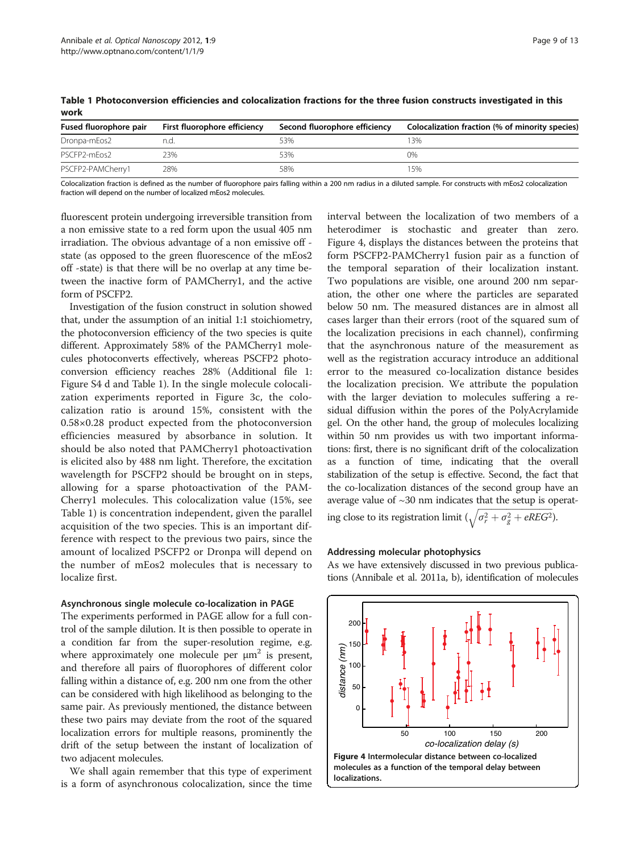| Fused fluorophore pair | First fluorophore efficiency | Second fluorophore efficiency | Colocalization fraction (% of minority species) |
|------------------------|------------------------------|-------------------------------|-------------------------------------------------|
| Dronpa-mEos2           | n.a.                         | 53%                           | ' 3%                                            |
| PSCFP2-mEos2           | 23%                          | 53%                           | 0%                                              |
| PSCFP2-PAMCherry1      | 28%                          | 58%                           | 5%                                              |

<span id="page-8-0"></span>Table 1 Photoconversion efficiencies and colocalization fractions for the three fusion constructs investigated in this work

Colocalization fraction is defined as the number of fluorophore pairs falling within a 200 nm radius in a diluted sample. For constructs with mEos2 colocalization fraction will depend on the number of localized mEos2 molecules.

fluorescent protein undergoing irreversible transition from a non emissive state to a red form upon the usual 405 nm irradiation. The obvious advantage of a non emissive off state (as opposed to the green fluorescence of the mEos2 off -state) is that there will be no overlap at any time between the inactive form of PAMCherry1, and the active form of PSCFP2.

Investigation of the fusion construct in solution showed that, under the assumption of an initial 1:1 stoichiometry, the photoconversion efficiency of the two species is quite different. Approximately 58% of the PAMCherry1 molecules photoconverts effectively, whereas PSCFP2 photoconversion efficiency reaches 28% (Additional file [1](#page-11-0): Figure S4 d and Table 1). In the single molecule colocalization experiments reported in Figure [3c](#page-7-0), the colocalization ratio is around 15%, consistent with the 0.58×0.28 product expected from the photoconversion efficiencies measured by absorbance in solution. It should be also noted that PAMCherry1 photoactivation is elicited also by 488 nm light. Therefore, the excitation wavelength for PSCFP2 should be brought on in steps, allowing for a sparse photoactivation of the PAM-Cherry1 molecules. This colocalization value (15%, see Table 1) is concentration independent, given the parallel acquisition of the two species. This is an important difference with respect to the previous two pairs, since the amount of localized PSCFP2 or Dronpa will depend on the number of mEos2 molecules that is necessary to localize first.

## Asynchronous single molecule co-localization in PAGE

The experiments performed in PAGE allow for a full control of the sample dilution. It is then possible to operate in a condition far from the super-resolution regime, e.g. where approximately one molecule per  $\mu$ m<sup>2</sup> is present, and therefore all pairs of fluorophores of different color falling within a distance of, e.g. 200 nm one from the other can be considered with high likelihood as belonging to the same pair. As previously mentioned, the distance between these two pairs may deviate from the root of the squared localization errors for multiple reasons, prominently the drift of the setup between the instant of localization of two adjacent molecules.

We shall again remember that this type of experiment is a form of asynchronous colocalization, since the time

interval between the localization of two members of a heterodimer is stochastic and greater than zero. Figure 4, displays the distances between the proteins that form PSCFP2-PAMCherry1 fusion pair as a function of the temporal separation of their localization instant. Two populations are visible, one around 200 nm separation, the other one where the particles are separated below 50 nm. The measured distances are in almost all cases larger than their errors (root of the squared sum of the localization precisions in each channel), confirming that the asynchronous nature of the measurement as well as the registration accuracy introduce an additional error to the measured co-localization distance besides the localization precision. We attribute the population with the larger deviation to molecules suffering a residual diffusion within the pores of the PolyAcrylamide gel. On the other hand, the group of molecules localizing within 50 nm provides us with two important informations: first, there is no significant drift of the colocalization as a function of time, indicating that the overall stabilization of the setup is effective. Second, the fact that the co-localization distances of the second group have an average value of  $\sim$ 30 nm indicates that the setup is operating close to its registration limit  $(\sqrt{\sigma_r^2 + \sigma_g^2 + eREG^2})$ .

## Addressing molecular photophysics

As we have extensively discussed in two previous publications (Annibale et al. [2011a, b](#page-11-0)), identification of molecules

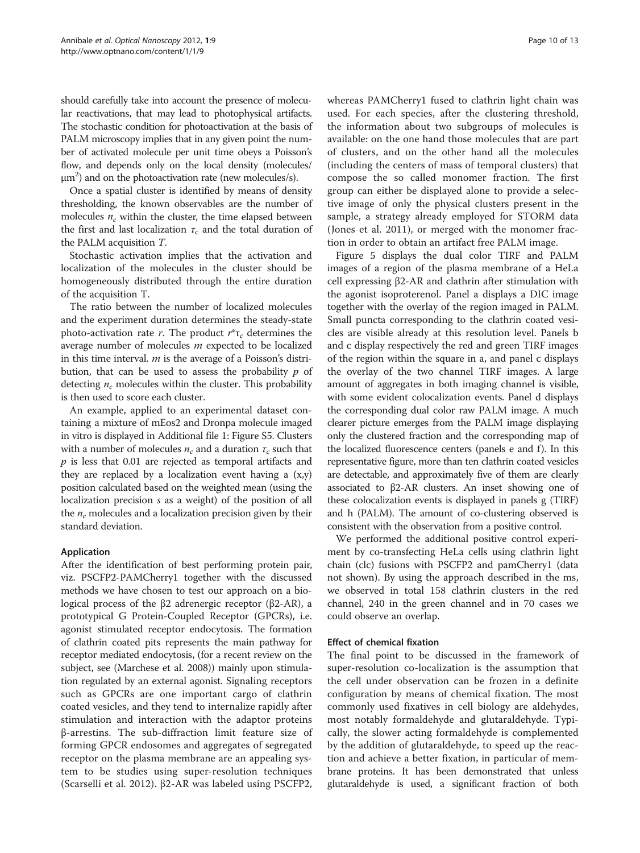should carefully take into account the presence of molecular reactivations, that may lead to photophysical artifacts. The stochastic condition for photoactivation at the basis of PALM microscopy implies that in any given point the number of activated molecule per unit time obeys a Poisson's flow, and depends only on the local density (molecules/  $\mu$ m<sup>2</sup>) and on the photoactivation rate (new molecules/s).

Once a spatial cluster is identified by means of density thresholding, the known observables are the number of molecules  $n_c$  within the cluster, the time elapsed between the first and last localization  $\tau_c$  and the total duration of the PALM acquisition T.

Stochastic activation implies that the activation and localization of the molecules in the cluster should be homogeneously distributed through the entire duration of the acquisition T.

The ratio between the number of localized molecules and the experiment duration determines the steady-state photo-activation rate r. The product  $r^*$ τ<sub>c</sub> determines the average number of molecules m expected to be localized in this time interval.  $m$  is the average of a Poisson's distribution, that can be used to assess the probability  $p$  of detecting  $n_c$  molecules within the cluster. This probability is then used to score each cluster.

An example, applied to an experimental dataset containing a mixture of mEos2 and Dronpa molecule imaged in vitro is displayed in Additional file [1](#page-11-0): Figure S5. Clusters with a number of molecules  $n_c$  and a duration  $\tau_c$  such that  $p$  is less that 0.01 are rejected as temporal artifacts and they are replaced by a localization event having a  $(x,y)$ position calculated based on the weighted mean (using the localization precision s as a weight) of the position of all the  $n_c$  molecules and a localization precision given by their standard deviation.

## Application

After the identification of best performing protein pair, viz. PSCFP2-PAMCherry1 together with the discussed methods we have chosen to test our approach on a biological process of the β2 adrenergic receptor (β2-AR), a prototypical G Protein-Coupled Receptor (GPCRs), i.e. agonist stimulated receptor endocytosis. The formation of clathrin coated pits represents the main pathway for receptor mediated endocytosis, (for a recent review on the subject, see (Marchese et al. [2008\)](#page-12-0)) mainly upon stimulation regulated by an external agonist. Signaling receptors such as GPCRs are one important cargo of clathrin coated vesicles, and they tend to internalize rapidly after stimulation and interaction with the adaptor proteins β-arrestins. The sub-diffraction limit feature size of forming GPCR endosomes and aggregates of segregated receptor on the plasma membrane are an appealing system to be studies using super-resolution techniques (Scarselli et al. [2012](#page-12-0)). β2-AR was labeled using PSCFP2,

whereas PAMCherry1 fused to clathrin light chain was used. For each species, after the clustering threshold, the information about two subgroups of molecules is available: on the one hand those molecules that are part of clusters, and on the other hand all the molecules (including the centers of mass of temporal clusters) that compose the so called monomer fraction. The first group can either be displayed alone to provide a selective image of only the physical clusters present in the sample, a strategy already employed for STORM data (Jones et al. [2011](#page-12-0)), or merged with the monomer fraction in order to obtain an artifact free PALM image.

Figure [5](#page-10-0) displays the dual color TIRF and PALM images of a region of the plasma membrane of a HeLa cell expressing β2-AR and clathrin after stimulation with the agonist isoproterenol. Panel a displays a DIC image together with the overlay of the region imaged in PALM. Small puncta corresponding to the clathrin coated vesicles are visible already at this resolution level. Panels b and c display respectively the red and green TIRF images of the region within the square in a, and panel c displays the overlay of the two channel TIRF images. A large amount of aggregates in both imaging channel is visible, with some evident colocalization events. Panel d displays the corresponding dual color raw PALM image. A much clearer picture emerges from the PALM image displaying only the clustered fraction and the corresponding map of the localized fluorescence centers (panels e and f). In this representative figure, more than ten clathrin coated vesicles are detectable, and approximately five of them are clearly associated to β2-AR clusters. An inset showing one of these colocalization events is displayed in panels g (TIRF) and h (PALM). The amount of co-clustering observed is consistent with the observation from a positive control.

We performed the additional positive control experiment by co-transfecting HeLa cells using clathrin light chain (clc) fusions with PSCFP2 and pamCherry1 (data not shown). By using the approach described in the ms, we observed in total 158 clathrin clusters in the red channel, 240 in the green channel and in 70 cases we could observe an overlap.

## Effect of chemical fixation

The final point to be discussed in the framework of super-resolution co-localization is the assumption that the cell under observation can be frozen in a definite configuration by means of chemical fixation. The most commonly used fixatives in cell biology are aldehydes, most notably formaldehyde and glutaraldehyde. Typically, the slower acting formaldehyde is complemented by the addition of glutaraldehyde, to speed up the reaction and achieve a better fixation, in particular of membrane proteins. It has been demonstrated that unless glutaraldehyde is used, a significant fraction of both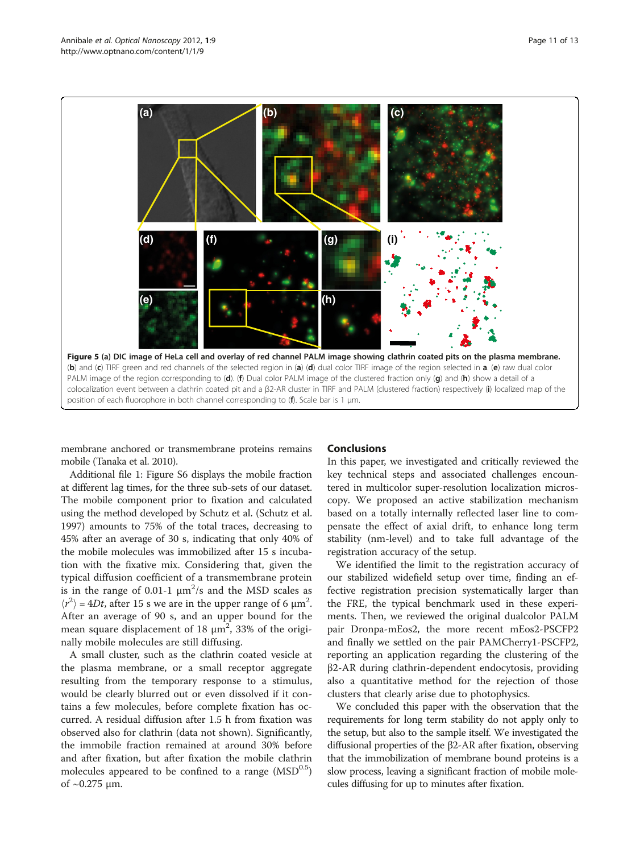<span id="page-10-0"></span>

membrane anchored or transmembrane proteins remains mobile (Tanaka et al. [2010\)](#page-12-0).

## Conclusions

Additional file [1:](#page-11-0) Figure S6 displays the mobile fraction at different lag times, for the three sub-sets of our dataset. The mobile component prior to fixation and calculated using the method developed by Schutz et al. (Schutz et al. [1997\)](#page-12-0) amounts to 75% of the total traces, decreasing to 45% after an average of 30 s, indicating that only 40% of the mobile molecules was immobilized after 15 s incubation with the fixative mix. Considering that, given the typical diffusion coefficient of a transmembrane protein is in the range of 0.01-1  $\mu$ m<sup>2</sup>/s and the MSD scales as  $\langle r^2 \rangle$  = 4Dt, after 15 s we are in the upper range of 6  $\mu$ m<sup>2</sup>. After an average of 90 s, and an upper bound for the mean square displacement of  $18 \mu m^2$ ,  $33\%$  of the originally mobile molecules are still diffusing.

A small cluster, such as the clathrin coated vesicle at the plasma membrane, or a small receptor aggregate resulting from the temporary response to a stimulus, would be clearly blurred out or even dissolved if it contains a few molecules, before complete fixation has occurred. A residual diffusion after 1.5 h from fixation was observed also for clathrin (data not shown). Significantly, the immobile fraction remained at around 30% before and after fixation, but after fixation the mobile clathrin molecules appeared to be confined to a range  $(MSD<sup>0.5</sup>)$ of  $\sim$  0.275 μm.

In this paper, we investigated and critically reviewed the key technical steps and associated challenges encountered in multicolor super-resolution localization microscopy. We proposed an active stabilization mechanism based on a totally internally reflected laser line to compensate the effect of axial drift, to enhance long term stability (nm-level) and to take full advantage of the registration accuracy of the setup.

We identified the limit to the registration accuracy of our stabilized widefield setup over time, finding an effective registration precision systematically larger than the FRE, the typical benchmark used in these experiments. Then, we reviewed the original dualcolor PALM pair Dronpa-mEos2, the more recent mEos2-PSCFP2 and finally we settled on the pair PAMCherry1-PSCFP2, reporting an application regarding the clustering of the β2-AR during clathrin-dependent endocytosis, providing also a quantitative method for the rejection of those clusters that clearly arise due to photophysics.

We concluded this paper with the observation that the requirements for long term stability do not apply only to the setup, but also to the sample itself. We investigated the diffusional properties of the β2-AR after fixation, observing that the immobilization of membrane bound proteins is a slow process, leaving a significant fraction of mobile molecules diffusing for up to minutes after fixation.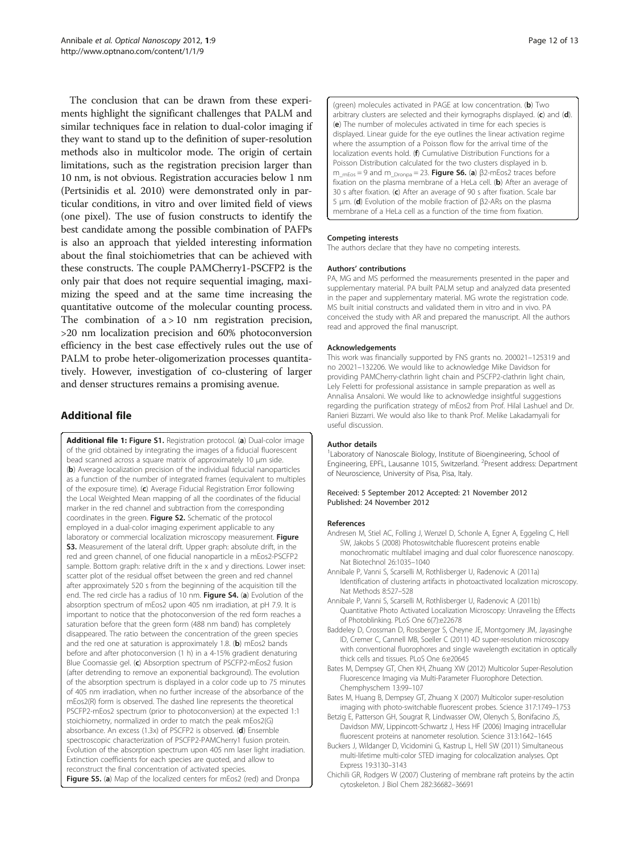<span id="page-11-0"></span>The conclusion that can be drawn from these experiments highlight the significant challenges that PALM and similar techniques face in relation to dual-color imaging if they want to stand up to the definition of super-resolution methods also in multicolor mode. The origin of certain limitations, such as the registration precision larger than 10 nm, is not obvious. Registration accuracies below 1 nm (Pertsinidis et al. [2010](#page-12-0)) were demonstrated only in particular conditions, in vitro and over limited field of views (one pixel). The use of fusion constructs to identify the best candidate among the possible combination of PAFPs is also an approach that yielded interesting information about the final stoichiometries that can be achieved with these constructs. The couple PAMCherry1-PSCFP2 is the only pair that does not require sequential imaging, maximizing the speed and at the same time increasing the quantitative outcome of the molecular counting process. The combination of  $a > 10$  nm registration precision, >20 nm localization precision and 60% photoconversion efficiency in the best case effectively rules out the use of PALM to probe heter-oligomerization processes quantitatively. However, investigation of co-clustering of larger and denser structures remains a promising avenue.

## Additional file

[Additional file 1:](http://www.biomedcentral.com/content/supplementary/2192-2853-1-9-S1.docx) Figure S1. Registration protocol. (a) Dual-color image of the grid obtained by integrating the images of a fiducial fluorescent bead scanned across a square matrix of approximately 10 μm side. (b) Average localization precision of the individual fiducial nanoparticles as a function of the number of integrated frames (equivalent to multiples of the exposure time). (c) Average Fiducial Registration Error following the Local Weighted Mean mapping of all the coordinates of the fiducial marker in the red channel and subtraction from the corresponding coordinates in the green. Figure S2. Schematic of the protocol employed in a dual-color imaging experiment applicable to any laboratory or commercial localization microscopy measurement. Figure S3. Measurement of the lateral drift. Upper graph: absolute drift, in the red and green channel, of one fiducial nanoparticle in a mEos2-PSCFP2 sample. Bottom graph: relative drift in the x and y directions. Lower inset: scatter plot of the residual offset between the green and red channel after approximately 520 s from the beginning of the acquisition till the end. The red circle has a radius of 10 nm. Figure S4. (a) Evolution of the absorption spectrum of mEos2 upon 405 nm irradiation, at pH 7.9. It is important to notice that the photoconversion of the red form reaches a saturation before that the green form (488 nm band) has completely disappeared. The ratio between the concentration of the green species and the red one at saturation is approximately 1.8. (b) mEos2 bands before and after photoconversion (1 h) in a 4-15% gradient denaturing Blue Coomassie gel. (c) Absorption spectrum of PSCFP2-mEos2 fusion (after detrending to remove an exponential background). The evolution of the absorption spectrum is displayed in a color code up to 75 minutes of 405 nm irradiation, when no further increase of the absorbance of the mEos2(R) form is observed. The dashed line represents the theoretical PSCFP2-mEos2 spectrum (prior to photoconversion) at the expected 1:1 stoichiometry, normalized in order to match the peak mEos2(G) absorbance. An excess (1.3x) of PSCFP2 is observed. (d) Ensemble spectroscopic characterization of PSCFP2-PAMCherry1 fusion protein. Evolution of the absorption spectrum upon 405 nm laser light irradiation. Extinction coefficients for each species are quoted, and allow to reconstruct the final concentration of activated species. Figure S5. (a) Map of the localized centers for mEos2 (red) and Dronpa

(green) molecules activated in PAGE at low concentration. (b) Two arbitrary clusters are selected and their kymographs displayed.  $(c)$  and  $(d)$ . (e) The number of molecules activated in time for each species is displayed. Linear guide for the eye outlines the linear activation regime where the assumption of a Poisson flow for the arrival time of the localization events hold. (f) Cumulative Distribution Functions for a Poisson Distribution calculated for the two clusters displayed in b.  $m_{mEos}$  = 9 and m<sub>Dronpa</sub> = 23. Figure S6. (a) β2-mEos2 traces before fixation on the plasma membrane of a HeLa cell. (b) After an average of 30 s after fixation. (c) After an average of 90 s after fixation. Scale bar 5 μm. (d) Evolution of the mobile fraction of β2-ARs on the plasma membrane of a HeLa cell as a function of the time from fixation.

## Competing interests

The authors declare that they have no competing interests.

#### Authors' contributions

PA, MG and MS performed the measurements presented in the paper and supplementary material. PA built PALM setup and analyzed data presented in the paper and supplementary material. MG wrote the registration code. MS built initial constructs and validated them in vitro and in vivo. PA conceived the study with AR and prepared the manuscript. All the authors read and approved the final manuscript.

#### Acknowledgements

This work was financially supported by FNS grants no. 200021–125319 and no 20021–132206. We would like to acknowledge Mike Davidson for providing PAMCherry-clathrin light chain and PSCFP2-clathrin light chain, Lely Feletti for professional assistance in sample preparation as well as Annalisa Ansaloni. We would like to acknowledge insightful suggestions regarding the purification strategy of mEos2 from Prof. Hilal Lashuel and Dr. Ranieri Bizzarri. We would also like to thank Prof. Melike Lakadamyali for useful discussion.

#### Author details

<sup>1</sup> Laboratory of Nanoscale Biology, Institute of Bioengineering, School of Engineering, EPFL, Lausanne 1015, Switzerland. <sup>2</sup>Present address: Department of Neuroscience, University of Pisa, Pisa, Italy.

#### Received: 5 September 2012 Accepted: 21 November 2012 Published: 24 November 2012

#### References

- Andresen M, Stiel AC, Folling J, Wenzel D, Schonle A, Egner A, Eggeling C, Hell SW, Jakobs S (2008) Photoswitchable fluorescent proteins enable monochromatic multilabel imaging and dual color fluorescence nanoscopy. Nat Biotechnol 26:1035–1040
- Annibale P, Vanni S, Scarselli M, Rothlisberger U, Radenovic A (2011a) Identification of clustering artifacts in photoactivated localization microscopy. Nat Methods 8:527–528
- Annibale P, Vanni S, Scarselli M, Rothlisberger U, Radenovic A (2011b) Quantitative Photo Activated Localization Microscopy: Unraveling the Effects of Photoblinking. PLoS One 6(7):e22678
- Baddeley D, Crossman D, Rossberger S, Cheyne JE, Montgomery JM, Jayasinghe ID, Cremer C, Cannell MB, Soeller C (2011) 4D super-resolution microscopy with conventional fluorophores and single wavelength excitation in optically thick cells and tissues. PLoS One 6:e20645
- Bates M, Dempsey GT, Chen KH, Zhuang XW (2012) Multicolor Super-Resolution Fluorescence Imaging via Multi-Parameter Fluorophore Detection. Chemphyschem 13:99–107
- Bates M, Huang B, Dempsey GT, Zhuang X (2007) Multicolor super-resolution imaging with photo-switchable fluorescent probes. Science 317:1749–1753
- Betzig E, Patterson GH, Sougrat R, Lindwasser OW, Olenych S, Bonifacino JS, Davidson MW, Lippincott-Schwartz J, Hess HF (2006) Imaging intracellular fluorescent proteins at nanometer resolution. Science 313:1642–1645
- Buckers J, Wildanger D, Vicidomini G, Kastrup L, Hell SW (2011) Simultaneous multi-lifetime multi-color STED imaging for colocalization analyses. Opt Express 19:3130–3143
- Chichili GR, Rodgers W (2007) Clustering of membrane raft proteins by the actin cytoskeleton. J Biol Chem 282:36682–36691